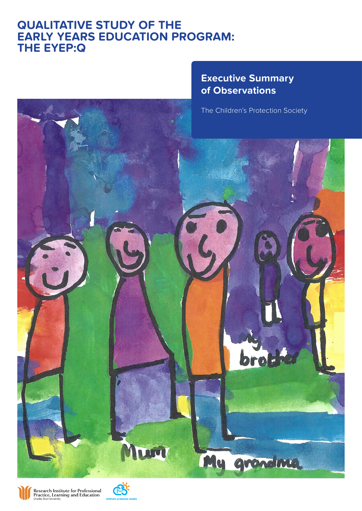# **QUALITATIVE STUDY OF THE EXTENDING THE REACH OF THE EARLY YEARS EDUCATION PROGRAM: EARLY YEARS EDUCATION PROGRAM: THE EYEP:Q THE EYEP: Q**



The Children's Protection Society





Research Institute for Professional<br>Practice, Learning and Education

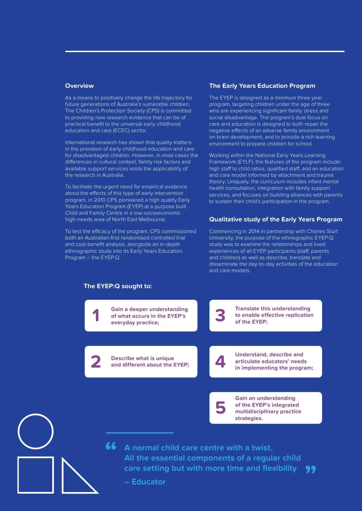#### **Overview**

As a means to positively change the life trajectory for future generations of Australia's vulnerable children, The Children's Protection Society (CPS) is committed to providing new research evidence that can be of practical benefit to the universal early childhood education and care (ECEC) sector.

International research has shown that quality matters in the provision of early childhood education and care for disadvantaged children. However, in most cases the differences in cultural context, family risk factors and available support services voids the applicability of the research in Australia.

To facilitate the urgent need for empirical evidence about the effects of this type of early intervention program, in 2010 CPS pioneered a high quality Early Years Education Program (EYEP) at a purpose built Child and Family Centre in a low-socioeconomic high-needs area of North East Melbourne.

To test the efficacy of the program, CPS commissioned both an Australian-first randomised controlled trial and cost-benefit analysis, alongside an in-depth ethnographic study into its Early Years Education Program – the EYEP:Q.

#### **The Early Years Education Program**

The EYEP is designed as a minimum three year program, targeting children under the age of three who are experiencing significant family stress and social disadvantage. The program's dual focus on care and education is designed to both repair the negative effects of an adverse family environment on brain development, and to provide a rich learning environment to prepare children for school.

Working within the National Early Years Learning Framework (EYLF), the features of the program include: high staff to child ratios, qualified staff, and an education and care model informed by attachment and trauma theory. Uniquely, the curriculum includes infant mental health consultation, integration with family support services, and focuses on building alliances with parents to sustain their child's participation in the program.

#### **Qualitative study of the Early Years Program**

Commencing in 2014 in partnership with Charles Sturt University, the purpose of the ethnographic EYEP:Q study was to examine the relationships and lived experiences of all EYEP participants (staff, parents and children) as well as describe, translate and disseminate the day-to-day activities of the education and care models.

**"**



**46** A normal child care centre with a twist.<br>All the essential components of a regul **All the essential components of a regular child care setting but with more time and flexibility**

**– Educator**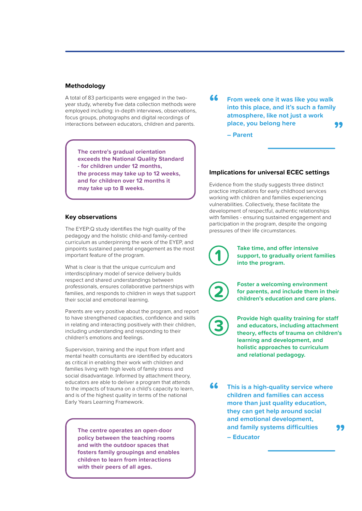### **Methodology**

A total of 83 participants were engaged in the twoyear study, whereby five data collection methods were employed including: in-depth interviews, observations, focus groups, photographs and digital recordings of interactions between educators, children and parents.

**The centre's gradual orientation exceeds the National Quality Standard - for children under 12 months, the process may take up to 12 weeks, and for children over 12 months it may take up to 8 weeks.**

## **Key observations**

The EYEP:Q study identifies the high quality of the pedagogy and the holistic child-and family-centred curriculum as underpinning the work of the EYEP, and pinpoints sustained parental engagement as the most important feature of the program.

What is clear is that the unique curriculum and interdisciplinary model of service delivery builds respect and shared understandings between professionals, ensures collaborative partnerships with families, and responds to children in ways that support their social and emotional learning.

Parents are very positive about the program, and report to have strengthened capacities, confidence and skills in relating and interacting positively with their children, including understanding and responding to their children's emotions and feelings.

Supervision, training and the input from infant and mental health consultants are identified by educators as critical in enabling their work with children and families living with high levels of family stress and social disadvantage. Informed by attachment theory, educators are able to deliver a program that attends to the impacts of trauma on a child's capacity to learn, and is of the highest quality in terms of the national Early Years Learning Framework.

**policy between the teaching rooms and with the outdoor spaces that fosters family groupings and enables children to learn from interactions with their peers of all ages.**

**From week one it was like you walk into this place, and it's such a family atmosphere, like not just a work place, you belong here " "**

**– Parent**

## **Implications for universal ECEC settings**

Evidence from the study suggests three distinct practice implications for early childhood services working with children and families experiencing vulnerabilities. Collectively, these facilitate the development of respectful, authentic relationships with families - ensuring sustained engagement and participation in the program, despite the ongoing pressures of their life circumstances.

> **Take time, and offer intensive support, to gradually orient families into the program.**

**Foster a welcoming environment for parents, and include them in their children's education and care plans.** 

**Provide high quality training for staff and educators, including attachment theory, effects of trauma on children's learning and development, and holistic approaches to curriculum and relational pedagogy.** 

**This is a high-quality service where children and families can access more than just quality education, they can get help around social and emotional development, and family systems difficulties – Educator "** The centre operates an open-door **and family systems difficulties**<br>policy between the teaching rooms **and the set of the contract of the contract of the contract of the contract of**